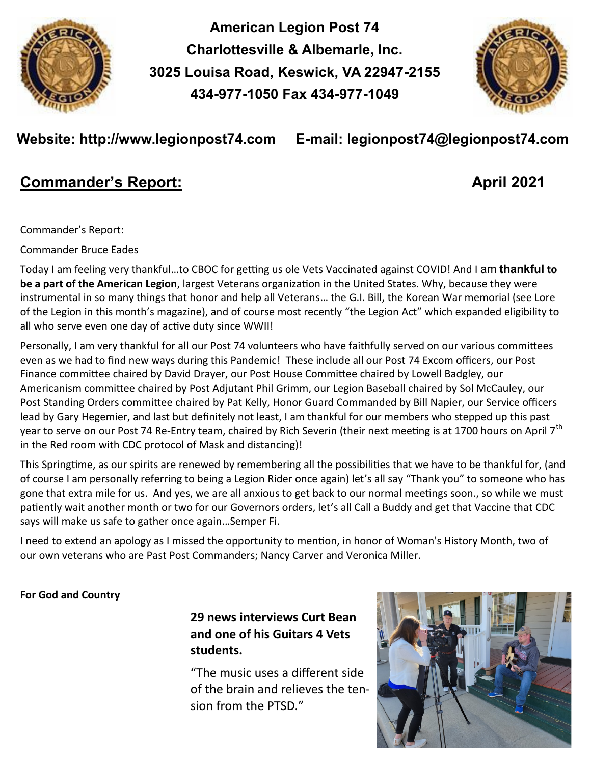

**American Legion Post 74 Charlottesville & Albemarle, Inc. 3025 Louisa Road, Keswick, VA 22947-2155 434-977-1050 Fax 434-977-1049** 



# **Website: http://www.legionpost74.com E-mail: legionpost74@legionpost74.com**

# **Commander's Report: April 2021**

## Commander's Report:

## Commander Bruce Eades

Today I am feeling very thankful…to CBOC for getting us ole Vets Vaccinated against COVID! And I am **thankful to be a part of the American Legion**, largest Veterans organization in the United States. Why, because they were instrumental in so many things that honor and help all Veterans… the G.I. Bill, the Korean War memorial (see Lore of the Legion in this month's magazine), and of course most recently "the Legion Act" which expanded eligibility to all who serve even one day of active duty since WWII!

Personally, I am very thankful for all our Post 74 volunteers who have faithfully served on our various committees even as we had to find new ways during this Pandemic! These include all our Post 74 Excom officers, our Post Finance committee chaired by David Drayer, our Post House Committee chaired by Lowell Badgley, our Americanism committee chaired by Post Adjutant Phil Grimm, our Legion Baseball chaired by Sol McCauley, our Post Standing Orders committee chaired by Pat Kelly, Honor Guard Commanded by Bill Napier, our Service officers lead by Gary Hegemier, and last but definitely not least, I am thankful for our members who stepped up this past year to serve on our Post 74 Re-Entry team, chaired by Rich Severin (their next meeting is at 1700 hours on April 7<sup>th</sup> in the Red room with CDC protocol of Mask and distancing)!

This Springtime, as our spirits are renewed by remembering all the possibilities that we have to be thankful for, (and of course I am personally referring to being a Legion Rider once again) let's all say "Thank you" to someone who has gone that extra mile for us. And yes, we are all anxious to get back to our normal meetings soon., so while we must patiently wait another month or two for our Governors orders, let's all Call a Buddy and get that Vaccine that CDC says will make us safe to gather once again…Semper Fi.

I need to extend an apology as I missed the opportunity to mention, in honor of Woman's History Month, two of our own veterans who are Past Post Commanders; Nancy Carver and Veronica Miller.

## **For God and Country**

# **29 news interviews Curt Bean and one of his Guitars 4 Vets students.**

"The music uses a different side of the brain and relieves the tension from the PTSD."

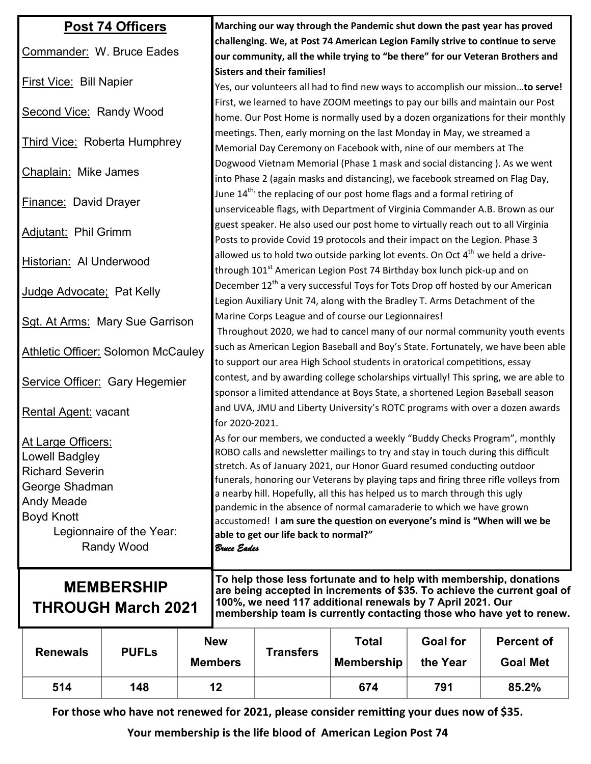| <b>Post 74 Officers</b>                   |                                                |                              | Marching our way through the Pandemic shut down the past year has proved                                                                                                                                       |                  |                   |                 |                   |
|-------------------------------------------|------------------------------------------------|------------------------------|----------------------------------------------------------------------------------------------------------------------------------------------------------------------------------------------------------------|------------------|-------------------|-----------------|-------------------|
| Commander: W. Bruce Eades                 |                                                |                              | challenging. We, at Post 74 American Legion Family strive to continue to serve                                                                                                                                 |                  |                   |                 |                   |
|                                           |                                                |                              | our community, all the while trying to "be there" for our Veteran Brothers and                                                                                                                                 |                  |                   |                 |                   |
| <b>First Vice: Bill Napier</b>            |                                                |                              | <b>Sisters and their families!</b><br>Yes, our volunteers all had to find new ways to accomplish our missionto serve!                                                                                          |                  |                   |                 |                   |
| <b>Second Vice: Randy Wood</b>            |                                                |                              | First, we learned to have ZOOM meetings to pay our bills and maintain our Post<br>home. Our Post Home is normally used by a dozen organizations for their monthly                                              |                  |                   |                 |                   |
| Third Vice: Roberta Humphrey              |                                                |                              | meetings. Then, early morning on the last Monday in May, we streamed a<br>Memorial Day Ceremony on Facebook with, nine of our members at The                                                                   |                  |                   |                 |                   |
| Chaplain: Mike James                      |                                                |                              | Dogwood Vietnam Memorial (Phase 1 mask and social distancing). As we went<br>into Phase 2 (again masks and distancing), we facebook streamed on Flag Day,                                                      |                  |                   |                 |                   |
| <b>Finance: David Drayer</b>              |                                                |                              | June $14^{\text{th}}$ , the replacing of our post home flags and a formal retiring of<br>unserviceable flags, with Department of Virginia Commander A.B. Brown as our                                          |                  |                   |                 |                   |
| <b>Adjutant: Phil Grimm</b>               |                                                |                              | guest speaker. He also used our post home to virtually reach out to all Virginia<br>Posts to provide Covid 19 protocols and their impact on the Legion. Phase 3                                                |                  |                   |                 |                   |
| <b>Historian: Al Underwood</b>            |                                                |                              | allowed us to hold two outside parking lot events. On Oct 4 <sup>th</sup> we held a drive-<br>through 101 <sup>st</sup> American Legion Post 74 Birthday box lunch pick-up and on                              |                  |                   |                 |                   |
| Judge Advocate: Pat Kelly                 |                                                |                              | December 12 <sup>th</sup> a very successful Toys for Tots Drop off hosted by our American<br>Legion Auxiliary Unit 74, along with the Bradley T. Arms Detachment of the                                        |                  |                   |                 |                   |
| Sgt. At Arms: Mary Sue Garrison           |                                                |                              | Marine Corps League and of course our Legionnaires!<br>Throughout 2020, we had to cancel many of our normal community youth events                                                                             |                  |                   |                 |                   |
| <b>Athletic Officer: Solomon McCauley</b> |                                                |                              | such as American Legion Baseball and Boy's State. Fortunately, we have been able<br>to support our area High School students in oratorical competitions, essay                                                 |                  |                   |                 |                   |
| Service Officer: Gary Hegemier            |                                                |                              | contest, and by awarding college scholarships virtually! This spring, we are able to<br>sponsor a limited attendance at Boys State, a shortened Legion Baseball season                                         |                  |                   |                 |                   |
| <b>Rental Agent: vacant</b>               |                                                |                              | and UVA, JMU and Liberty University's ROTC programs with over a dozen awards<br>for 2020-2021.                                                                                                                 |                  |                   |                 |                   |
| At Large Officers:                        |                                                |                              | As for our members, we conducted a weekly "Buddy Checks Program", monthly                                                                                                                                      |                  |                   |                 |                   |
| Lowell Badgley                            |                                                |                              | ROBO calls and newsletter mailings to try and stay in touch during this difficult                                                                                                                              |                  |                   |                 |                   |
| <b>Richard Severin</b>                    |                                                |                              | stretch. As of January 2021, our Honor Guard resumed conducting outdoor                                                                                                                                        |                  |                   |                 |                   |
| George Shadman                            |                                                |                              | funerals, honoring our Veterans by playing taps and firing three rifle volleys from                                                                                                                            |                  |                   |                 |                   |
| Andy Meade                                |                                                |                              | a nearby hill. Hopefully, all this has helped us to march through this ugly                                                                                                                                    |                  |                   |                 |                   |
| <b>Boyd Knott</b>                         |                                                |                              | pandemic in the absence of normal camaraderie to which we have grown<br>accustomed! I am sure the question on everyone's mind is "When will we be                                                              |                  |                   |                 |                   |
| Legionnaire of the Year:                  |                                                |                              | able to get our life back to normal?"                                                                                                                                                                          |                  |                   |                 |                   |
| Randy Wood                                |                                                |                              | Bruce Eades                                                                                                                                                                                                    |                  |                   |                 |                   |
|                                           |                                                |                              |                                                                                                                                                                                                                |                  |                   |                 |                   |
|                                           |                                                |                              | To help those less fortunate and to help with membership, donations                                                                                                                                            |                  |                   |                 |                   |
|                                           | <b>MEMBERSHIP</b><br><b>THROUGH March 2021</b> |                              | are being accepted in increments of \$35. To achieve the current goal of<br>100%, we need 117 additional renewals by 7 April 2021. Our<br>membership team is currently contacting those who have yet to renew. |                  |                   |                 |                   |
|                                           |                                                | <b>New</b><br><b>Members</b> |                                                                                                                                                                                                                | <b>Transfers</b> | <b>Total</b>      | <b>Goal for</b> | <b>Percent of</b> |
| <b>Renewals</b>                           | <b>PUFLS</b>                                   |                              |                                                                                                                                                                                                                |                  | <b>Membership</b> | the Year        | <b>Goal Met</b>   |
| 514                                       | 148                                            |                              | 12                                                                                                                                                                                                             |                  | 674               | 791             | 85.2%             |

**For those who have not renewed for 2021, please consider remitting your dues now of \$35.** 

**Your membership is the life blood of American Legion Post 74**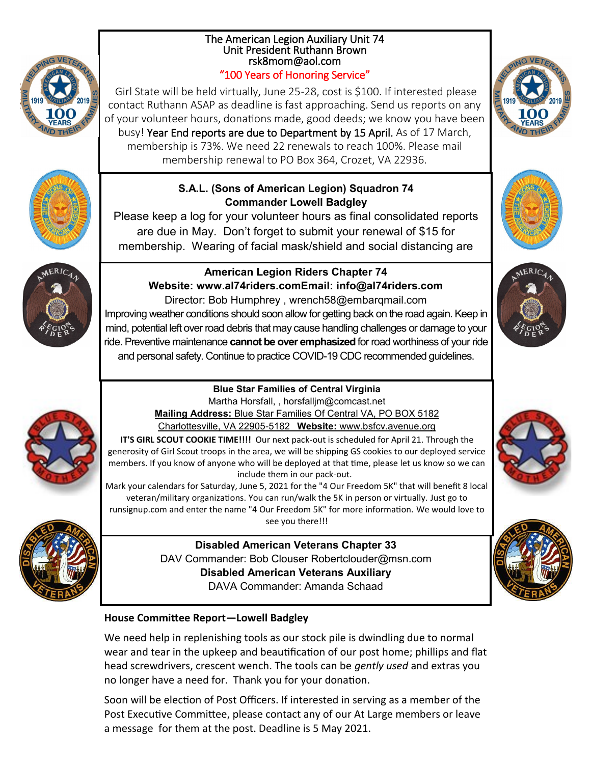## The American Legion Auxiliary Unit 74 Unit President Ruthann Brown rsk8mom@aol.com "100 Years of Honoring Service"

Girl State will be held virtually, June 25-28, cost is \$100. If interested please contact Ruthann ASAP as deadline is fast approaching. Send us reports on any of your volunteer hours, donations made, good deeds; we know you have been busy! Year End reports are due to Department by 15 April. As of 17 March, membership is 73%. We need 22 renewals to reach 100%. Please mail membership renewal to PO Box 364, Crozet, VA 22936.

## **S.A.L. (Sons of American Legion) Squadron 74 Commander Lowell Badgley**

Please keep a log for your volunteer hours as final consolidated reports are due in May. Don't forget to submit your renewal of \$15 for membership. Wearing of facial mask/shield and social distancing are



# **American Legion Riders Chapter 74 Website: www.al74riders.comEmail: info@al74riders.com**

Director: Bob Humphrey , wrench58@embarqmail.com Improving weather conditions should soon allow for getting back on the road again. Keep in mind, potential left over road debris that may cause handling challenges or damage to your ride. Preventive maintenance **cannot be over emphasized** for road worthiness of your ride and personal safety. Continue to practice COVID-19 CDC recommended guidelines.

# **Blue Star Families of Central Virginia**



Martha Horsfall, , horsfalljm@comcast.net **Mailing Address:** Blue Star Families Of Central VA, PO BOX 5182 Charlottesville, VA 22905-5182 **Website:** www.bsfcv.avenue.org

**IT'S GIRL SCOUT COOKIE TIME!!!!** Our next pack-out is scheduled for April 21. Through the generosity of Girl Scout troops in the area, we will be shipping GS cookies to our deployed service members. If you know of anyone who will be deployed at that time, please let us know so we can include them in our pack-out.

Mark your calendars for Saturday, June 5, 2021 for the "4 Our Freedom 5K" that will benefit 8 local veteran/military organizations. You can run/walk the 5K in person or virtually. Just go to runsignup.com and enter the name "4 Our Freedom 5K" for more information. We would love to see you there!!!



**Disabled American Veterans Chapter 33** DAV Commander: Bob Clouser Robertclouder@msn.com **Disabled American Veterans Auxiliary** DAVA Commander: Amanda Schaad

# **House Committee Report—Lowell Badgley**

We need help in replenishing tools as our stock pile is dwindling due to normal wear and tear in the upkeep and beautification of our post home; phillips and flat head screwdrivers, crescent wench. The tools can be *gently used* and extras you no longer have a need for. Thank you for your donation.

Soon will be election of Post Officers. If interested in serving as a member of the Post Executive Committee, please contact any of our At Large members or leave a message for them at the post. Deadline is 5 May 2021.